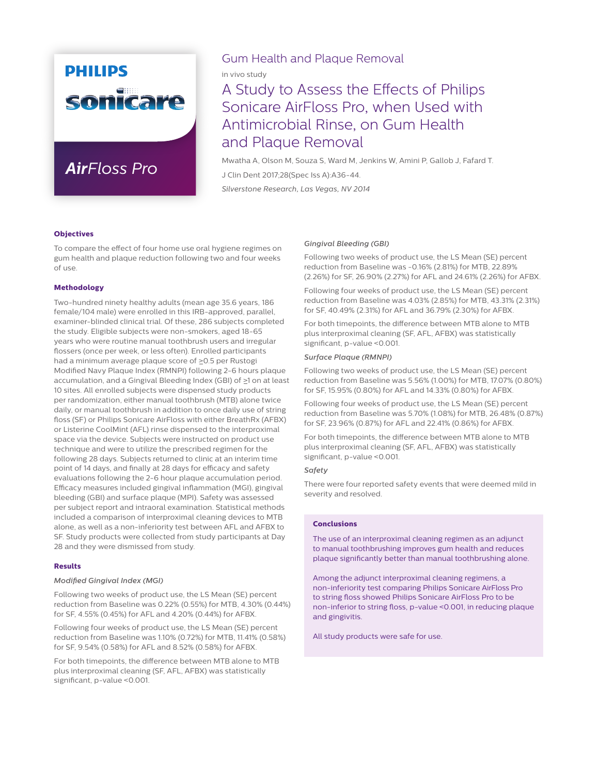# **PHILIPS** sonicare

## *AirFloss Pro*

### Gum Health and Plaque Removal

in vivo study

### A Study to Assess the Effects of Philips Sonicare AirFloss Pro, when Used with Antimicrobial Rinse, on Gum Health and Plaque Removal

Mwatha A, Olson M, Souza S, Ward M, Jenkins W, Amini P, Gallob J, Fafard T. J Clin Dent 2017;28(Spec Iss A):A36-44. *Silverstone Research, Las Vegas, NV 2014*

#### **Objectives**

To compare the effect of four home use oral hygiene regimes on gum health and plaque reduction following two and four weeks of use.

#### **Methodology**

Two-hundred ninety healthy adults (mean age 35.6 years, 186 female/104 male) were enrolled in this IRB-approved, parallel, examiner-blinded clinical trial. Of these, 286 subjects completed the study. Eligible subjects were non-smokers, aged 18-65 years who were routine manual toothbrush users and irregular flossers (once per week, or less often). Enrolled participants had a minimum average plaque score of  $\geq$ 0.5 per Rustogi Modified Navy Plaque Index (RMNPI) following 2-6 hours plaque accumulation, and a Gingival Bleeding Index (GBI) of  $\geq 1$  on at least 10 sites. All enrolled subjects were dispensed study products per randomization, either manual toothbrush (MTB) alone twice daily, or manual toothbrush in addition to once daily use of string floss (SF) or Philips Sonicare AirFloss with either BreathRx (AFBX) or Listerine CoolMint (AFL) rinse dispensed to the interproximal space via the device. Subjects were instructed on product use technique and were to utilize the prescribed regimen for the following 28 days. Subjects returned to clinic at an interim time point of 14 days, and finally at 28 days for efficacy and safety evaluations following the 2-6 hour plaque accumulation period. Efficacy measures included gingival inflammation (MGI), gingival bleeding (GBI) and surface plaque (MPI). Safety was assessed per subject report and intraoral examination. Statistical methods included a comparison of interproximal cleaning devices to MTB alone, as well as a non-inferiority test between AFL and AFBX to SF. Study products were collected from study participants at Day 28 and they were dismissed from study.

#### **Results**

#### *Modified Gingival Index (MGI)*

Following two weeks of product use, the LS Mean (SE) percent reduction from Baseline was 0.22% (0.55%) for MTB, 4.30% (0.44%) for SF, 4.55% (0.45%) for AFL and 4.20% (0.44%) for AFBX.

Following four weeks of product use, the LS Mean (SE) percent reduction from Baseline was 1.10% (0.72%) for MTB, 11.41% (0.58%) for SF, 9.54% (0.58%) for AFL and 8.52% (0.58%) for AFBX.

For both timepoints, the difference between MTB alone to MTB plus interproximal cleaning (SF, AFL, AFBX) was statistically significant, p-value <0.001.

#### *Gingival Bleeding (GBI)*

Following two weeks of product use, the LS Mean (SE) percent reduction from Baseline was -0.16% (2.81%) for MTB, 22.89% (2.26%) for SF, 26.90% (2.27%) for AFL and 24.61% (2.26%) for AFBX.

Following four weeks of product use, the LS Mean (SE) percent reduction from Baseline was 4.03% (2.85%) for MTB, 43.31% (2.31%) for SF, 40.49% (2.31%) for AFL and 36.79% (2.30%) for AFBX.

For both timepoints, the difference between MTB alone to MTB plus interproximal cleaning (SF, AFL, AFBX) was statistically significant, p-value <0.001.

#### *Surface Plaque (RMNPI)*

Following two weeks of product use, the LS Mean (SE) percent reduction from Baseline was 5.56% (1.00%) for MTB, 17.07% (0.80%) for SF, 15.95% (0.80%) for AFL and 14.33% (0.80%) for AFBX.

Following four weeks of product use, the LS Mean (SE) percent reduction from Baseline was 5.70% (1.08%) for MTB, 26.48% (0.87%) for SF, 23.96% (0.87%) for AFL and 22.41% (0.86%) for AFBX.

For both timepoints, the difference between MTB alone to MTB plus interproximal cleaning (SF, AFL, AFBX) was statistically significant, p-value <0.001.

#### *Safety*

There were four reported safety events that were deemed mild in severity and resolved.

#### **Conclusions**

The use of an interproximal cleaning regimen as an adjunct to manual toothbrushing improves gum health and reduces plaque significantly better than manual toothbrushing alone.

Among the adjunct interproximal cleaning regimens, a non-inferiority test comparing Philips Sonicare AirFloss Pro to string floss showed Philips Sonicare AirFloss Pro to be non-inferior to string floss, p-value <0.001, in reducing plaque and gingivitis.

All study products were safe for use.